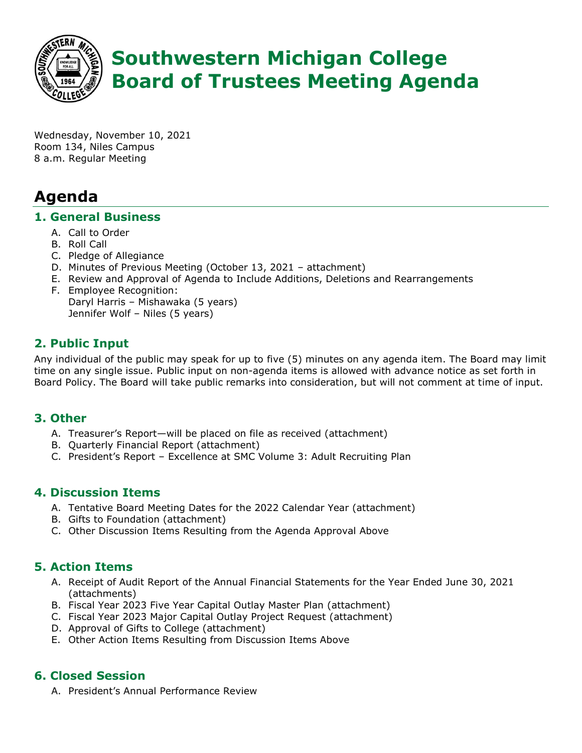

# **Southwestern Michigan College Board of Trustees Meeting Agenda**

Wednesday, November 10, 2021 Room 134, Niles Campus 8 a.m. Regular Meeting

# **Agenda**

#### **1. General Business**

- A. Call to Order
- B. Roll Call
- C. Pledge of Allegiance
- D. Minutes of Previous Meeting (October 13, 2021 attachment)
- E. Review and Approval of Agenda to Include Additions, Deletions and Rearrangements
- F. Employee Recognition: Daryl Harris – Mishawaka (5 years) Jennifer Wolf – Niles (5 years)

# **2. Public Input**

Any individual of the public may speak for up to five (5) minutes on any agenda item. The Board may limit time on any single issue. Public input on non-agenda items is allowed with advance notice as set forth in Board Policy. The Board will take public remarks into consideration, but will not comment at time of input.

#### **3. Other**

- A. Treasurer's Report—will be placed on file as received (attachment)
- B. Quarterly Financial Report (attachment)
- C. President's Report Excellence at SMC Volume 3: Adult Recruiting Plan

#### **4. Discussion Items**

- A. Tentative Board Meeting Dates for the 2022 Calendar Year (attachment)
- B. Gifts to Foundation (attachment)
- C. Other Discussion Items Resulting from the Agenda Approval Above

## **5. Action Items**

- A. Receipt of Audit Report of the Annual Financial Statements for the Year Ended June 30, 2021 (attachments)
- B. Fiscal Year 2023 Five Year Capital Outlay Master Plan (attachment)
- C. Fiscal Year 2023 Major Capital Outlay Project Request (attachment)
- D. Approval of Gifts to College (attachment)
- E. Other Action Items Resulting from Discussion Items Above

## **6. Closed Session**

A. President's Annual Performance Review